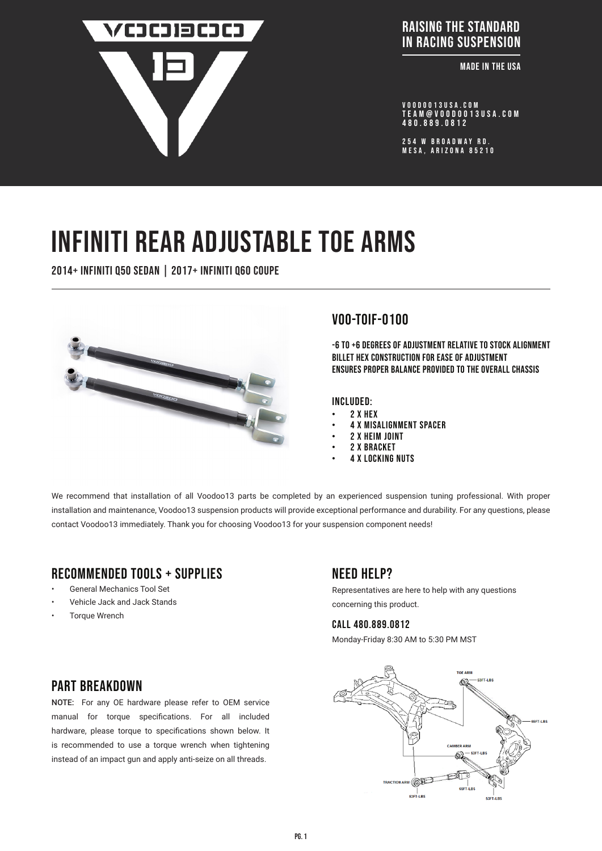

#### **ADDRESS :** RAISING THE STANDARD IN RACING SUSPENSION

**Example IN THE USA** 

VOODOO13USA.COM tEAM@VOODOO13USA.COM 480.889.0812

254 W BROADWAY RD. MESA, ARIZONA 85210

# INFINITI REAR ADJUSTABLE TOE ARMS

2014+ Infiniti q50 sedan | 2017+ infiniti q60 coupe



# voo-TOIF-0100

-6 to +6 degrees of adjustment relative to stock alignment Billet hex construction for ease of adjustment ensures proper balance provided to the overall chassis

Included:

- 2 x HEX
- 4 x Misalignment Spacer
- 2 x HEIM JOINT
- 2 x BRACKET
- **4 X LOCKING NUTS**

We recommend that installation of all Voodoo13 parts be completed by an experienced suspension tuning professional. With proper installation and maintenance, Voodoo13 suspension products will provide exceptional performance and durability. For any questions, please contact Voodoo13 immediately. Thank you for choosing Voodoo13 for your suspension component needs!

# Recommended tools + supplies

- General Mechanics Tool Set
- Vehicle Jack and Jack Stands
- **Torque Wrench**

# Need help?

Representatives are here to help with any questions concerning this product.

#### CALL 480.889.0812

Monday-Friday 8:30 AM to 5:30 PM MST



# PART BRFAKDOWN

NOTE: For any OE hardware please refer to OEM service manual for torque specifications. For all included hardware, please torque to specifications shown below. It is recommended to use a torque wrench when tightening instead of an impact gun and apply anti-seize on all threads.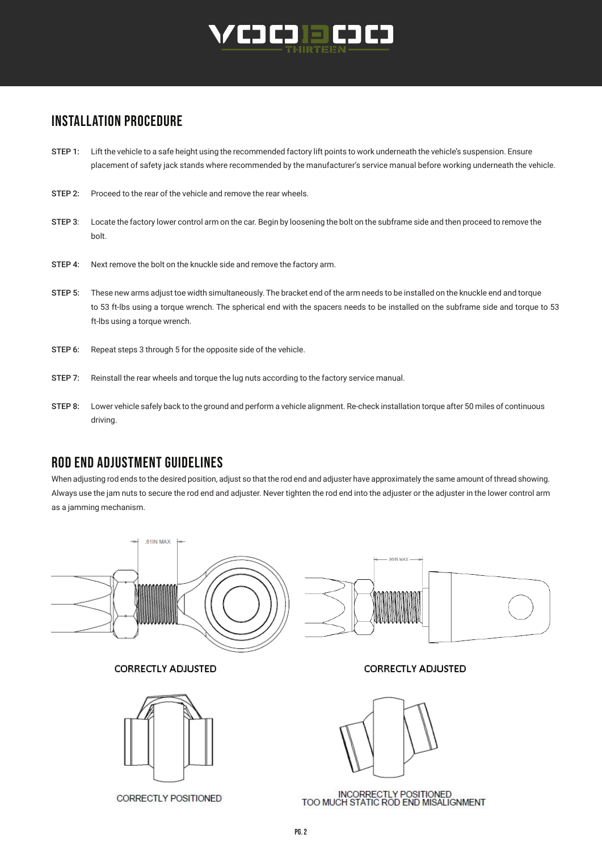

# INSTALLATION PROCEDURE

- STEP 1: Lift the vehicle to a safe height using the recommended factory lift points to work underneath the vehicle's suspension. Ensure placement of safety jack stands where recommended by the manufacturer's service manual before working underneath the vehicle.
- STEP 2: Proceed to the rear of the vehicle and remove the rear wheels.
- STEP 3: Locate the factory lower control arm on the car. Begin by loosening the bolt on the subframe side and then proceed to remove the bolt.
- STEP 4: Next remove the bolt on the knuckle side and remove the factory arm.
- STEP 5: These new arms adjust toe width simultaneously. The bracket end of the arm needs to be installed on the knuckle end and torque to 53 ft-lbs using a torque wrench. The spherical end with the spacers needs to be installed on the subframe side and torque to 53 ft-lbs using a torque wrench.
- STEP 6: Repeat steps 3 through 5 for the opposite side of the vehicle.
- STEP 7: Reinstall the rear wheels and torque the lug nuts according to the factory service manual.
- STEP 8: Lower vehicle safely back to the ground and perform a vehicle alignment. Re-check installation torque after 50 miles of continuous driving.

#### ROD END ADJUSTMENT GUIDELINES

When adjusting rod ends to the desired position, adjust so that the rod end and adjuster have approximately the same amount of thread showing. Always use the jam nuts to secure the rod end and adjuster. Never tighten the rod end into the adjuster or the adjuster in the lower control arm as a jamming mechanism.